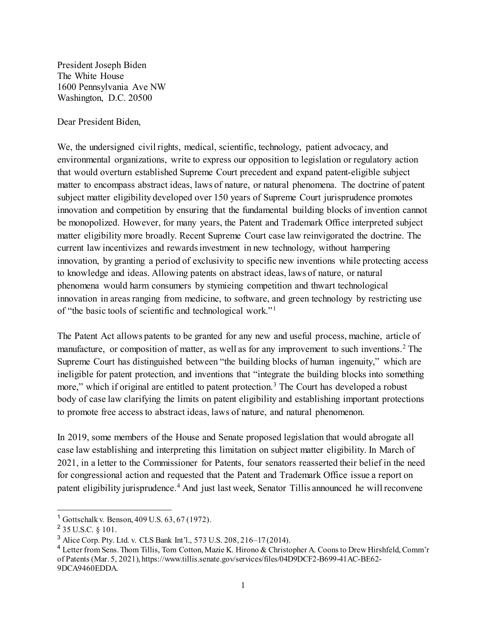President Joseph Biden The White House 1600 Pennsylvania Ave NW Washington, D.C. 20500

Dear President Biden,

We, the undersigned civil rights, medical, scientific, technology, patient advocacy, and environmental organizations, write to express our opposition to legislation or regulatory action that would overturn established Supreme Court precedent and expand patent-eligible subject matter to encompass abstract ideas, laws of nature, or natural phenomena. The doctrine of patent subject matter eligibility developed over 150 years of Supreme Court jurisprudence promotes innovation and competition by ensuring that the fundamental building blocks of invention cannot be monopolized. However, for many years, the Patent and Trademark Office interpreted subject matter eligibility more broadly. Recent Supreme Court case law reinvigorated the doctrine. The current law incentivizes and rewards investment in new technology, without hampering innovation, by granting a period of exclusivity to specific new inventions while protecting access to knowledge and ideas. Allowing patents on abstract ideas, laws of nature, or natural phenomena would harm consumers by stymieing competition and thwart technological innovation in areas ranging from medicine, to software, and green technology by restricting use of "the basic tools of scientific and technological work."[1](#page-0-0)

The Patent Act allows patents to be granted for any new and useful process, machine, article of manufacture, or composition of matter, as well as for any improvement to such inventions.<sup>[2](#page-0-1)</sup> The Supreme Court has distinguished between "the building blocks of human ingenuity," which are ineligible for patent protection, and inventions that "integrate the building blocks into something more," which if original are entitled to patent protection.<sup>[3](#page-0-2)</sup> The Court has developed a robust body of case law clarifying the limits on patent eligibility and establishing important protections to promote free access to abstract ideas, laws of nature, and natural phenomenon.

In 2019, some members of the House and Senate proposed legislation that would abrogate all case law establishing and interpreting this limitation on subject matter eligibility. In March of 2021, in a letter to the Commissioner for Patents, four senators reasserted their belief in the need for congressional action and requested that the Patent and Trademark Office issue a report on patent eligibility jurisprudence.<sup>[4](#page-0-3)</sup> And just last week, Senator Tillis announced he will reconvene

<span id="page-0-0"></span> <sup>1</sup> Gottschalk v. Benson, 409 U.S. 63, 67 (1972).

<span id="page-0-1"></span><sup>2</sup> 35 U.S.C. § 101.

<span id="page-0-2"></span><sup>3</sup> Alice Corp. Pty. Ltd. v. CLS Bank Int'l., 573 U.S. 208, 216–17 (2014).

<span id="page-0-3"></span><sup>4</sup> Letter from Sens. Thom Tillis, Tom Cotton, Mazie K. Hirono & Christopher A. Coons to Drew Hirshfeld, Comm'r of Patents (Mar. 5, 2021), https://www.tillis.senate.gov/services/files/04D9DCF2-B699-41AC-BE62- 9DCA9460EDDA.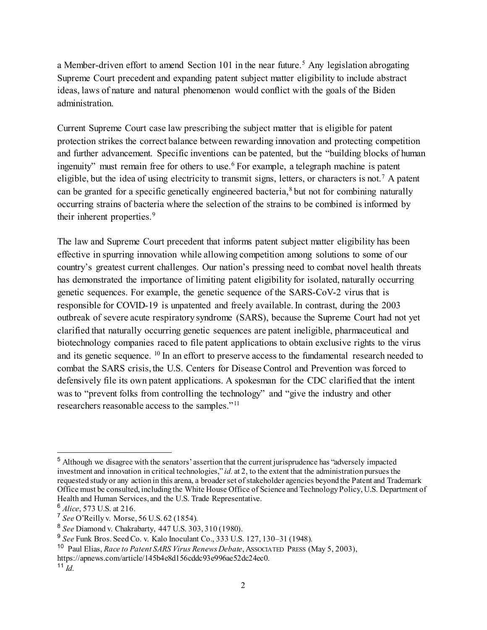a Member-driven effort to amend Section 101 in the near future.<sup>[5](#page-1-0)</sup> Any legislation abrogating Supreme Court precedent and expanding patent subject matter eligibility to include abstract ideas, laws of nature and natural phenomenon would conflict with the goals of the Biden administration.

Current Supreme Court case law prescribing the subject matter that is eligible for patent protection strikes the correct balance between rewarding innovation and protecting competition and further advancement. Specific inventions can be patented, but the "building blocks of human ingenuity" must remain free for others to use.<sup>[6](#page-1-1)</sup> For example, a telegraph machine is patent eligible, but the idea of using electricity to transmit signs, letters, or characters is not.<sup>[7](#page-1-2)</sup> A patent can be granted for a specific genetically engineered bacteria,<sup>[8](#page-1-3)</sup> but not for combining naturally occurring strains of bacteria where the selection of the strains to be combined is informed by their inherent properties.<sup>[9](#page-1-4)</sup>

The law and Supreme Court precedent that informs patent subject matter eligibility has been effective in spurring innovation while allowing competition among solutions to some of our country's greatest current challenges. Our nation's pressing need to combat novel health threats has demonstrated the importance of limiting patent eligibility for isolated, naturally occurring genetic sequences. For example, the genetic sequence of the SARS-CoV-2 virus that is responsible for COVID-19 is unpatented and freely available. In contrast, during the 2003 outbreak of severe acute respiratory syndrome (SARS), because the Supreme Court had not yet clarified that naturally occurring genetic sequences are patent ineligible, pharmaceutical and biotechnology companies raced to file patent applications to obtain exclusive rights to the virus and its genetic sequence. <sup>[10](#page-1-5)</sup> In an effort to preserve access to the fundamental research needed to combat the SARS crisis, the U.S. Centers for Disease Control and Prevention was forced to defensively file its own patent applications. A spokesman for the CDC clarified that the intent was to "prevent folks from controlling the technology" and "give the industry and other researchers reasonable access to the samples."[11](#page-1-6)

<span id="page-1-0"></span> <sup>5</sup> Although we disagree with the senators' assertion that the current jurisprudence has "adversely impacted investment and innovation in critical technologies," *id.* at 2, to the extent that the administration pursues the requested study or any action in this arena, a broader set of stakeholder agencies beyond the Patent and Trademark Office must be consulted, including the White House Office of Science and Technology Policy, U.S. Department of Health and Human Services, and the U.S. Trade Representative.

<span id="page-1-1"></span><sup>6</sup> *Alice*, 573 U.S. at 216.

<span id="page-1-2"></span><sup>7</sup> *See* O'Reilly v. Morse, 56 U.S. 62 (1854).

<span id="page-1-3"></span><sup>8</sup> *See* Diamond v. Chakrabarty, 447 U.S. 303, 310 (1980).

<span id="page-1-4"></span><sup>9</sup> *See* Funk Bros. Seed Co. v. Kalo Inoculant Co., 333 U.S. 127, 130–31 (1948).

<span id="page-1-5"></span><sup>10</sup> Paul Elias, *Race to Patent SARS Virus Renews Debate*, ASSOCIATED PRESS (May 5, 2003),

https://apnews.com/article/145b4e8d156cddc93e996ae52dc24ec0.

<span id="page-1-6"></span><sup>11</sup> *Id.*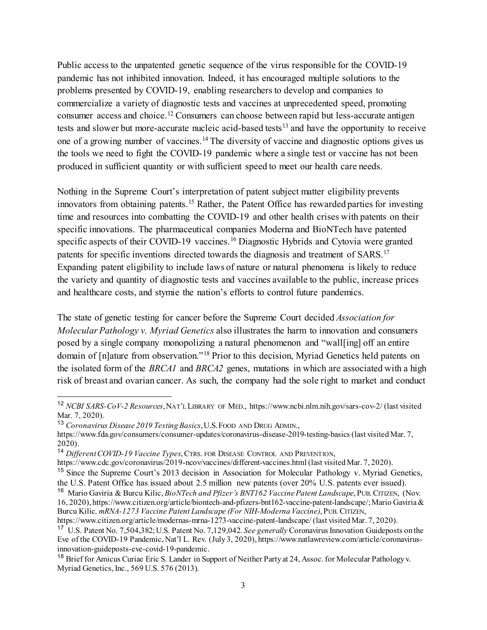Public access to the unpatented genetic sequence of the virus responsible for the COVID-19 pandemic has not inhibited innovation. Indeed, it has encouraged multiple solutions to the problems presented by COVID-19, enabling researchers to develop and companies to commercialize a variety of diagnostic tests and vaccines at unprecedented speed, promoting consumer access and choice.[12](#page-2-0) Consumers can choose between rapid but less-accurate antigen tests and slower but more-accurate nucleic acid-based tests<sup>[13](#page-2-1)</sup> and have the opportunity to receive one of a growing number of vaccines.[14](#page-2-2) The diversity of vaccine and diagnostic options gives us the tools we need to fight the COVID-19 pandemic where a single test or vaccine has not been produced in sufficient quantity or with sufficient speed to meet our health care needs.

Nothing in the Supreme Court's interpretation of patent subject matter eligibility prevents innovators from obtaining patents.<sup>[15](#page-2-3)</sup> Rather, the Patent Office has rewarded parties for investing time and resources into combatting the COVID-19 and other health crises with patents on their specific innovations. The pharmaceutical companies Moderna and BioNTech have patented specific aspects of their COVID-19 vaccines.<sup>[16](#page-2-4)</sup> Diagnostic Hybrids and Cytovia were granted patents for specific inventions directed towards the diagnosis and treatment of SARS.[17](#page-2-5) Expanding patent eligibility to include laws of nature or natural phenomena is likely to reduce the variety and quantity of diagnostic tests and vaccines available to the public, increase prices and healthcare costs, and stymie the nation's efforts to control future pandemics.

The state of genetic testing for cancer before the Supreme Court decided *Association for Molecular Pathology v. Myriad Genetics* also illustrates the harm to innovation and consumers posed by a single company monopolizing a natural phenomenon and "wall[ing] off an entire domain of [n]ature from observation."[18](#page-2-6) Prior to this decision, Myriad Genetics held patents on the isolated form of the *BRCA1* and *BRCA2* genes, mutations in which are associated with a high risk of breast and ovarian cancer. As such, the company had the sole right to market and conduct

<span id="page-2-0"></span> <sup>12</sup> *NCBI SARS-CoV-2 Resources*,NAT'L LIBRARY OF MED.,<https://www.ncbi.nlm.nih.gov/sars-cov-2/> (last visited Mar. 7, 2020).

<span id="page-2-1"></span><sup>13</sup> *Coronavirus Disease 2019 Testing Basics*,U.S.FOOD AND DRUG ADMIN.,

<https://www.fda.gov/consumers/consumer-updates/coronavirus-disease-2019-testing-basics> (last visited Mar. 7, 2020).

<span id="page-2-2"></span><sup>14</sup> *Different COVID-19 Vaccine Types*, CTRS. FOR DISEASE CONTROL AND PREVENTION,

<https://www.cdc.gov/coronavirus/2019-ncov/vaccines/different-vaccines.html> (last visited Mar. 7, 2020).

<span id="page-2-3"></span><sup>&</sup>lt;sup>15</sup> Since the Supreme Court's 2013 decision in Association for Molecular Pathology v. Myriad Genetics, the U.S. Patent Office has issued about 2.5 million new patents (over 20% U.S. patents ever issued).

<span id="page-2-4"></span><sup>16</sup> Mario Gaviria & Burcu Kilic, *BioNTech and Pfizer's BNT162 Vaccine Patent Landscape*, PUB.CITIZEN, (Nov. 16, 2020), https://www.citizen.org/article/biontech-and-pfizers-bnt162-vaccine-patent-landscape/; Mario Gaviria & Burcu Kilic*, mRNA-1273 Vaccine Patent Landscape (For NIH-Moderna Vaccine)*, PUB.CITIZEN,

https://www.citizen.org/article/modernas-mrna-1273-vaccine-patent-landscape/ (last visited Mar. 7, 2020).

<span id="page-2-5"></span><sup>17</sup> U.S. Patent No. 7,504,382; U.S. Patent No. 7,129,042. *See generally* Coronavirus Innovation Guideposts on the Eve of the COVID-19 Pandemic, Nat'l L. Rev. (July 3, 2020), https://www.natlawreview.com/article/coronavirusinnovation-guideposts-eve-covid-19-pandemic.

<span id="page-2-6"></span><sup>&</sup>lt;sup>18</sup> Brief for Amicus Curiae Eric S. Lander in Support of Neither Party at 24, Assoc. for Molecular Pathology v. Myriad Genetics, Inc., 569 U.S. 576 (2013).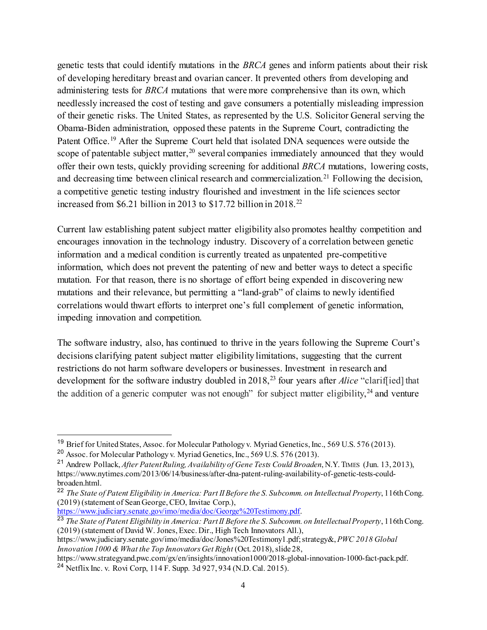genetic tests that could identify mutations in the *BRCA* genes and inform patients about their risk of developing hereditary breast and ovarian cancer. It prevented others from developing and administering tests for *BRCA* mutations that were more comprehensive than its own, which needlessly increased the cost of testing and gave consumers a potentially misleading impression of their genetic risks. The United States, as represented by the U.S. Solicitor General serving the Obama-Biden administration, opposed these patents in the Supreme Court, contradicting the Patent Office.<sup>[19](#page-3-0)</sup> After the Supreme Court held that isolated DNA sequences were outside the scope of patentable subject matter,  $20$  several companies immediately announced that they would offer their own tests, quickly providing screening for additional *BRCA* mutations, lowering costs, and decreasing time between clinical research and commercialization.<sup>[21](#page-3-2)</sup> Following the decision, a competitive genetic testing industry flourished and investment in the life sciences sector increased from \$6.21 billion in 2013 to \$17.72 billion in 2018.<sup>[22](#page-3-3)</sup>

Current law establishing patent subject matter eligibility also promotes healthy competition and encourages innovation in the technology industry. Discovery of a correlation between genetic information and a medical condition is currently treated as unpatented pre-competitive information, which does not prevent the patenting of new and better ways to detect a specific mutation. For that reason, there is no shortage of effort being expended in discovering new mutations and their relevance, but permitting a "land-grab" of claims to newly identified correlations would thwart efforts to interpret one's full complement of genetic information, impeding innovation and competition.

The software industry, also, has continued to thrive in the years following the Supreme Court's decisions clarifying patent subject matter eligibility limitations, suggesting that the current restrictions do not harm software developers or businesses. Investment in research and development for the software industry doubled in 2018,<sup>[23](#page-3-4)</sup> four years after *Alice* "clarif[ied] that the addition of a generic computer was not enough" for subject matter eligibility,  $24$  and venture

<span id="page-3-4"></span><sup>23</sup> *The State of Patent Eligibility in America: Part II Before the S. Subcomm. on Intellectual Property*, 116th Cong. (2019) (statement of David W. Jones, Exec. Dir., High Tech Innovators All.),

https://www.judiciary.senate.gov/imo/media/doc/Jones%20Testimony1.pdf; strategy&, *PWC 2018 Global Innovation 1000 & What the Top Innovators Get Right* (Oct. 2018), slide 28,

<span id="page-3-5"></span>https://www.strategyand.pwc.com/gx/en/insights/innovation1000/2018-global-innovation-1000-fact-pack.pdf. <sup>24</sup> Netflix Inc. v. Rovi Corp, 114 F. Supp. 3d 927, 934 (N.D. Cal. 2015).

<span id="page-3-0"></span><sup>&</sup>lt;sup>19</sup> Brief for United States, Assoc. for Molecular Pathology v. Myriad Genetics, Inc., 569 U.S. 576 (2013).

<span id="page-3-1"></span><sup>20</sup> Assoc. for Molecular Pathology v. Myriad Genetics, Inc., 569 U.S. 576 (2013).

<span id="page-3-2"></span><sup>21</sup> Andrew Pollack, *After Patent Ruling, Availability of Gene Tests Could Broaden*, N.Y. TIMES (Jun. 13, 2013), https://www.nytimes.com/2013/06/14/business/after-dna-patent-ruling-availability-of-genetic-tests-couldbroaden.html.

<span id="page-3-3"></span><sup>22</sup> *The State of Patent Eligibility in America: Part II Before the S. Subcomm. on Intellectual Property*, 116th Cong. (2019) (statement of Sean George, CEO, Invitae Corp.), [https://www.judiciary.senate.gov/imo/media/doc/George%20Testimony.pdf.](https://www.judiciary.senate.gov/imo/media/doc/George%20Testimony.pdf)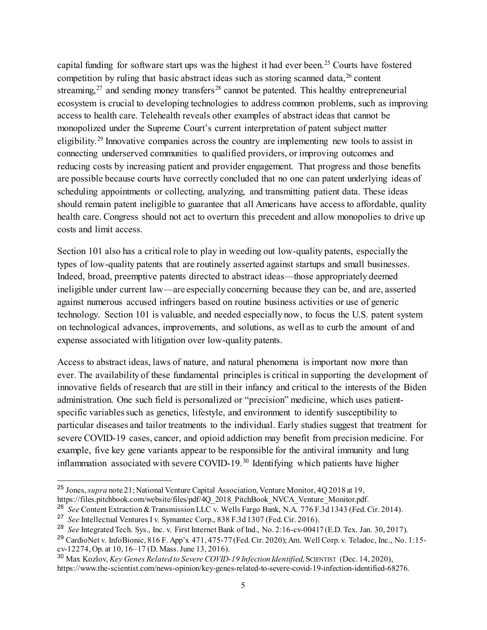capital funding for software start ups was the highest it had ever been.<sup>[25](#page-4-0)</sup> Courts have fostered competition by ruling that basic abstract ideas such as storing scanned data,  $26$  content streaming,  $27$  and sending money transfers  $28$  cannot be patented. This healthy entrepreneurial ecosystem is crucial to developing technologies to address common problems, such as improving access to health care. Telehealth reveals other examples of abstract ideas that cannot be monopolized under the Supreme Court's current interpretation of patent subject matter eligibility.<sup>[29](#page-4-4)</sup> Innovative companies across the country are implementing new tools to assist in connecting underserved communities to qualified providers, or improving outcomes and reducing costs by increasing patient and provider engagement. That progress and those benefits are possible because courts have correctly concluded that no one can patent underlying ideas of scheduling appointments or collecting, analyzing, and transmitting patient data. These ideas should remain patent ineligible to guarantee that all Americans have access to affordable, quality health care. Congress should not act to overturn this precedent and allow monopolies to drive up costs and limit access.

Section 101 also has a critical role to play in weeding out low-quality patents, especially the types of low-quality patents that are routinely asserted against startups and small businesses. Indeed, broad, preemptive patents directed to abstract ideas—those appropriately deemed ineligible under current law—are especially concerning because they can be, and are, asserted against numerous accused infringers based on routine business activities or use of generic technology. Section 101 is valuable, and needed especially now, to focus the U.S. patent system on technological advances, improvements, and solutions, as well as to curb the amount of and expense associated with litigation over low-quality patents.

Access to abstract ideas, laws of nature, and natural phenomena is important now more than ever. The availability of these fundamental principles is critical in supporting the development of innovative fields of research that are still in their infancy and critical to the interests of the Biden administration. One such field is personalized or "precision" medicine, which uses patientspecific variables such as genetics, lifestyle, and environment to identify susceptibility to particular diseases and tailor treatments to the individual. Early studies suggest that treatment for severe COVID-19 cases, cancer, and opioid addiction may benefit from precision medicine. For example, five key gene variants appear to be responsible for the antiviral immunity and lung inflammation associated with severe COVID-19.<sup>[30](#page-4-5)</sup> Identifying which patients have higher

<span id="page-4-0"></span> <sup>25</sup> Jones, *supra* note 21; National Venture Capital Association, Venture Monitor, 4Q 2018 at 19,

https://files.pitchbook.com/website/files/pdf/4Q\_2018\_PitchBook\_NVCA\_Venture\_Monitor.pdf.

<span id="page-4-1"></span><sup>26</sup> *See* Content Extraction & Transmission LLC v. Wells Fargo Bank, N.A. 776 F.3d 1343 (Fed. Cir. 2014).

<span id="page-4-2"></span><sup>27</sup> *See* Intellectual Ventures I v. Symantec Corp., 838 F.3d 1307 (Fed. Cir. 2016).

<span id="page-4-3"></span><sup>28</sup> *See* Integrated Tech. Sys., Inc. v. First Internet Bank of Ind., No. 2:16-cv-00417 (E.D. Tex. Jan. 30, 2017).

<span id="page-4-4"></span><sup>&</sup>lt;sup>29</sup> CardioNet v. InfoBionic, 816 F. App'x 471, 475-77 (Fed. Cir. 2020); Am. Well Corp. v. Teladoc, Inc., No. 1:15cv-12274, Op. at 10, 16–17 (D. Mass. June 13, 2016).

<span id="page-4-5"></span><sup>&</sup>lt;sup>30</sup> Max Kozlov, *Key Genes Related to Severe COVID-19 Infection Identified*, SCIENTIST (Dec. 14, 2020), https://www.the-scientist.com/news-opinion/key-genes-related-to-severe-covid-19-infection-identified-68276.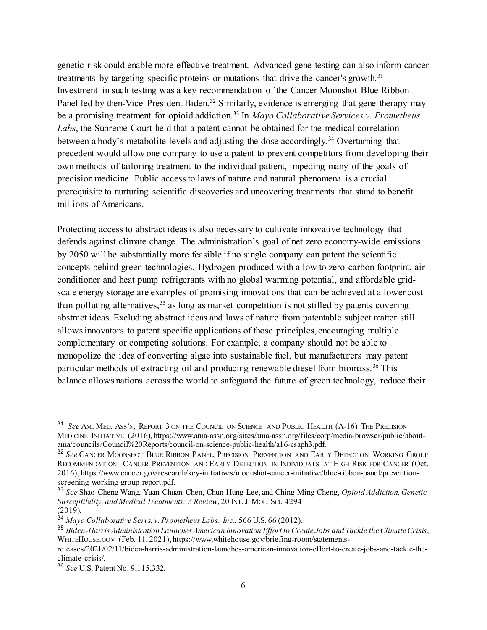genetic risk could enable more effective treatment. Advanced gene testing can also inform cancer treatments by targeting specific proteins or mutations that drive the cancer's growth.<sup>[31](#page-5-0)</sup> Investment in such testing was a key recommendation of the Cancer Moonshot Blue Ribbon Panel led by then-Vice President Biden.<sup>[32](#page-5-1)</sup> Similarly, evidence is emerging that gene therapy may be a promising treatment for opioid addiction.<sup>[33](#page-5-2)</sup> In *Mayo Collaborative Services v. Prometheus Labs*, the Supreme Court held that a patent cannot be obtained for the medical correlation between a body's metabolite levels and adjusting the dose accordingly.<sup>[34](#page-5-3)</sup> Overturning that precedent would allow one company to use a patent to prevent competitors from developing their own methods of tailoring treatment to the individual patient, impeding many of the goals of precision medicine. Public access to laws of nature and natural phenomena is a crucial prerequisite to nurturing scientific discoveries and uncovering treatments that stand to benefit millions of Americans.

Protecting access to abstract ideas is also necessary to cultivate innovative technology that defends against climate change. The administration's goal of net zero economy-wide emissions by 2050 will be substantially more feasible if no single company can patent the scientific concepts behind green technologies. Hydrogen produced with a low to zero-carbon footprint, air conditioner and heat pump refrigerants with no global warming potential, and affordable gridscale energy storage are examples of promising innovations that can be achieved at a lower cost than polluting alternatives,  $35$  as long as market competition is not stifled by patents covering abstract ideas. Excluding abstract ideas and laws of nature from patentable subject matter still allows innovators to patent specific applications of those principles, encouraging multiple complementary or competing solutions. For example, a company should not be able to monopolize the idea of converting algae into sustainable fuel, but manufacturers may patent particular methods of extracting oil and producing renewable diesel from biomass.<sup>[36](#page-5-5)</sup> This balance allows nations across the world to safeguard the future of green technology, reduce their

<span id="page-5-0"></span> <sup>31</sup> *See* AM. MED. ASS'N, REPORT 3 ON THE COUNCIL ON SCIENCE AND PUBLIC HEALTH (A-16):THE PRECISION MEDICINE INITIATIVE (2016), https://www.ama-assn.org/sites/ama-assn.org/files/corp/media-browser/public/aboutama/councils/Council%20Reports/council-on-science-public-health/a16-csaph3.pdf.

<span id="page-5-1"></span><sup>32</sup> *See* CANCER MOONSHOT BLUE RIBBON PANEL, PRECISION PREVENTION AND EARLY DETECTION WORKING GROUP RECOMMENDATION: CANCER PREVENTION AND EARLY DETECTION IN INDIVIDUALS AT HIGH RISK FOR CANCER (Oct. 2016), https://www.cancer.gov/research/key-initiatives/moonshot-cancer-initiative/blue-ribbon-panel/preventionscreening-working-group-report.pdf.

<span id="page-5-2"></span><sup>33</sup> *See* Shao-Cheng Wang, Yuan-Chuan Chen, Chun-Hung Lee, and Ching-Ming Cheng, *Opioid Addiction, Genetic Susceptibility, and Medical Treatments: A Review*, 20 INT.J. MOL. SCI. 4294  $(2019).$ 

<span id="page-5-3"></span><sup>34</sup> *Mayo Collaborative Servs. v. Prometheus Labs., Inc.*, 566 U.S. 66 (2012).

<span id="page-5-4"></span><sup>35</sup> *Biden-Harris Administration Launches American Innovation Effort to Create Jobs and Tackle the Climate Crisis*, WHITEHOUSE.GOV (Feb. 11, 2021), https://www.whitehouse.gov/briefing-room/statements-

releases/2021/02/11/biden-harris-administration-launches-american-innovation-effort-to-create-jobs-and-tackle-theclimate-crisis/.

<span id="page-5-5"></span><sup>36</sup> *See* U.S. Patent No. 9,115,332.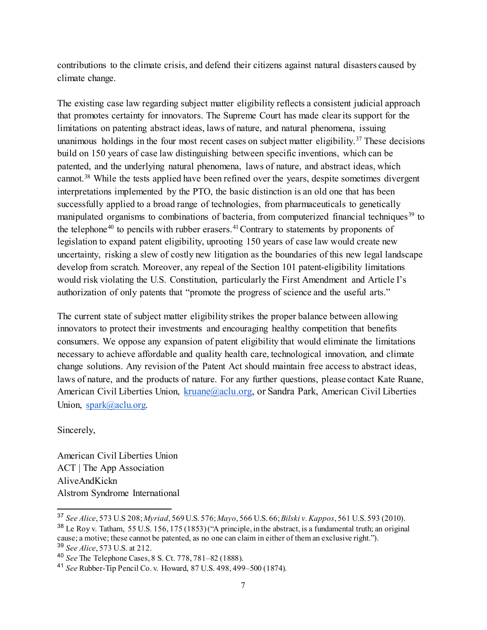contributions to the climate crisis, and defend their citizens against natural disasters caused by climate change.

The existing case law regarding subject matter eligibility reflects a consistent judicial approach that promotes certainty for innovators. The Supreme Court has made clear its support for the limitations on patenting abstract ideas, laws of nature, and natural phenomena, issuing unanimous holdings in the four most recent cases on subject matter eligibility.<sup>[37](#page-6-0)</sup> These decisions build on 150 years of case law distinguishing between specific inventions, which can be patented, and the underlying natural phenomena, laws of nature, and abstract ideas, which cannot.[38](#page-6-1) While the tests applied have been refined over the years, despite sometimes divergent interpretations implemented by the PTO, the basic distinction is an old one that has been successfully applied to a broad range of technologies, from pharmaceuticals to genetically manipulated organisms to combinations of bacteria, from computerized financial techniques<sup>[39](#page-6-2)</sup> to the telephone<sup>[40](#page-6-3)</sup> to pencils with rubber erasers.<sup>[41](#page-6-4)</sup> Contrary to statements by proponents of legislation to expand patent eligibility, uprooting 150 years of case law would create new uncertainty, risking a slew of costly new litigation as the boundaries of this new legal landscape develop from scratch. Moreover, any repeal of the Section 101 patent-eligibility limitations would risk violating the U.S. Constitution, particularly the First Amendment and Article I's authorization of only patents that "promote the progress of science and the useful arts."

The current state of subject matter eligibility strikes the proper balance between allowing innovators to protect their investments and encouraging healthy competition that benefits consumers. We oppose any expansion of patent eligibility that would eliminate the limitations necessary to achieve affordable and quality health care, technological innovation, and climate change solutions. Any revision of the Patent Act should maintain free access to abstract ideas, laws of nature, and the products of nature. For any further questions, please contact Kate Ruane, American Civil Liberties Union, [kruane@aclu.org,](mailto:kruane@aclu.org) or Sandra Park, American Civil Liberties Union, [spark@aclu.org.](mailto:spark@aclu.org)

Sincerely,

American Civil Liberties Union ACT | The App Association AliveAndKickn Alstrom Syndrome International

<span id="page-6-0"></span> <sup>37</sup> *See Alice*, 573 U.S 208; *Myriad*, 569 U.S. 576; *Mayo*, 566 U.S. 66; *Bilski v. Kappos*, 561 U.S. 593 (2010).

<span id="page-6-1"></span><sup>&</sup>lt;sup>38</sup> Le Roy v. Tatham, 55 U.S. 156, 175 (1853) ("A principle, in the abstract, is a fundamental truth; an original cause; a motive; these cannot be patented, as no one can claim in either of them an exclusive right.").

<span id="page-6-2"></span><sup>39</sup> *See Alice*, 573 U.S. at 212.

<span id="page-6-3"></span><sup>40</sup> *See* The Telephone Cases, 8 S. Ct. 778, 781–82 (1888).

<span id="page-6-4"></span><sup>41</sup> *See* Rubber-Tip Pencil Co. v. Howard, 87 U.S. 498, 499–500 (1874).